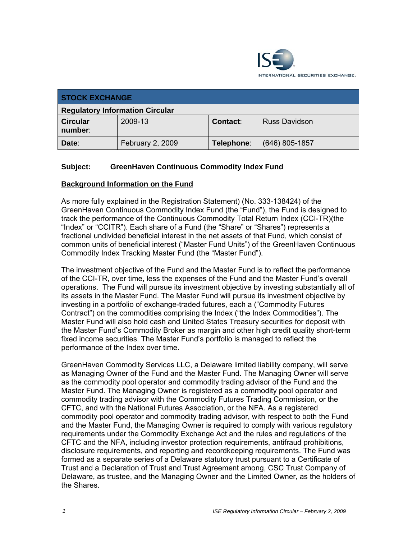

| <b>STOCK EXCHANGE</b>                  |                  |            |                      |
|----------------------------------------|------------------|------------|----------------------|
| <b>Regulatory Information Circular</b> |                  |            |                      |
| <b>Circular</b><br>number:             | 2009-13          | Contact:   | <b>Russ Davidson</b> |
| Date:                                  | February 2, 2009 | Telephone: | $(646)$ 805-1857     |

# **Subject: GreenHaven Continuous Commodity Index Fund**

#### **Background Information on the Fund**

As more fully explained in the Registration Statement) (No. 333-138424) of the GreenHaven Continuous Commodity Index Fund (the "Fund"), the Fund is designed to track the performance of the Continuous Commodity Total Return Index (CCI-TR)(the "Index" or "CCITR"). Each share of a Fund (the "Share" or "Shares") represents a fractional undivided beneficial interest in the net assets of that Fund, which consist of common units of beneficial interest ("Master Fund Units") of the GreenHaven Continuous Commodity Index Tracking Master Fund (the "Master Fund").

The investment objective of the Fund and the Master Fund is to reflect the performance of the CCI-TR, over time, less the expenses of the Fund and the Master Fund's overall operations. The Fund will pursue its investment objective by investing substantially all of its assets in the Master Fund. The Master Fund will pursue its investment objective by investing in a portfolio of exchange-traded futures, each a ("Commodity Futures Contract") on the commodities comprising the Index ("the Index Commodities"). The Master Fund will also hold cash and United States Treasury securities for deposit with the Master Fund's Commodity Broker as margin and other high credit quality short-term fixed income securities. The Master Fund's portfolio is managed to reflect the performance of the Index over time.

GreenHaven Commodity Services LLC, a Delaware limited liability company, will serve as Managing Owner of the Fund and the Master Fund. The Managing Owner will serve as the commodity pool operator and commodity trading advisor of the Fund and the Master Fund. The Managing Owner is registered as a commodity pool operator and commodity trading advisor with the Commodity Futures Trading Commission, or the CFTC, and with the National Futures Association, or the NFA. As a registered commodity pool operator and commodity trading advisor, with respect to both the Fund and the Master Fund, the Managing Owner is required to comply with various regulatory requirements under the Commodity Exchange Act and the rules and regulations of the CFTC and the NFA, including investor protection requirements, antifraud prohibitions, disclosure requirements, and reporting and recordkeeping requirements. The Fund was formed as a separate series of a Delaware statutory trust pursuant to a Certificate of Trust and a Declaration of Trust and Trust Agreement among, CSC Trust Company of Delaware, as trustee, and the Managing Owner and the Limited Owner, as the holders of the Shares.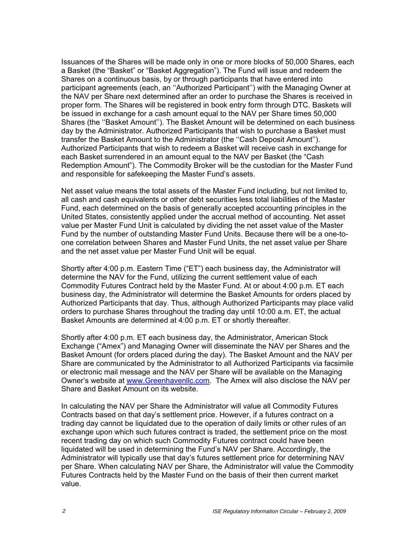Issuances of the Shares will be made only in one or more blocks of 50,000 Shares, each a Basket (the "Basket" or "Basket Aggregation"). The Fund will issue and redeem the Shares on a continuous basis, by or through participants that have entered into participant agreements (each, an ''Authorized Participant'') with the Managing Owner at the NAV per Share next determined after an order to purchase the Shares is received in proper form. The Shares will be registered in book entry form through DTC. Baskets will be issued in exchange for a cash amount equal to the NAV per Share times 50,000 Shares (the ''Basket Amount''). The Basket Amount will be determined on each business day by the Administrator. Authorized Participants that wish to purchase a Basket must transfer the Basket Amount to the Administrator (the ''Cash Deposit Amount''). Authorized Participants that wish to redeem a Basket will receive cash in exchange for each Basket surrendered in an amount equal to the NAV per Basket (the "Cash Redemption Amount"). The Commodity Broker will be the custodian for the Master Fund and responsible for safekeeping the Master Fund's assets.

Net asset value means the total assets of the Master Fund including, but not limited to, all cash and cash equivalents or other debt securities less total liabilities of the Master Fund, each determined on the basis of generally accepted accounting principles in the United States, consistently applied under the accrual method of accounting. Net asset value per Master Fund Unit is calculated by dividing the net asset value of the Master Fund by the number of outstanding Master Fund Units. Because there will be a one-toone correlation between Shares and Master Fund Units, the net asset value per Share and the net asset value per Master Fund Unit will be equal.

Shortly after 4:00 p.m. Eastern Time ("ET") each business day, the Administrator will determine the NAV for the Fund, utilizing the current settlement value of each Commodity Futures Contract held by the Master Fund. At or about 4:00 p.m. ET each business day, the Administrator will determine the Basket Amounts for orders placed by Authorized Participants that day. Thus, although Authorized Participants may place valid orders to purchase Shares throughout the trading day until 10:00 a.m. ET, the actual Basket Amounts are determined at 4:00 p.m. ET or shortly thereafter.

Shortly after 4:00 p.m. ET each business day, the Administrator, American Stock Exchange ("Amex") and Managing Owner will disseminate the NAV per Shares and the Basket Amount (for orders placed during the day). The Basket Amount and the NAV per Share are communicated by the Administrator to all Authorized Participants via facsimile or electronic mail message and the NAV per Share will be available on the Managing Owner's website at www.Greenhavenllc.com. The Amex will also disclose the NAV per Share and Basket Amount on its website.

In calculating the NAV per Share the Administrator will value all Commodity Futures Contracts based on that day's settlement price. However, if a futures contract on a trading day cannot be liquidated due to the operation of daily limits or other rules of an exchange upon which such futures contract is traded, the settlement price on the most recent trading day on which such Commodity Futures contract could have been liquidated will be used in determining the Fund's NAV per Share. Accordingly, the Administrator will typically use that day's futures settlement price for determining NAV per Share. When calculating NAV per Share, the Administrator will value the Commodity Futures Contracts held by the Master Fund on the basis of their then current market value.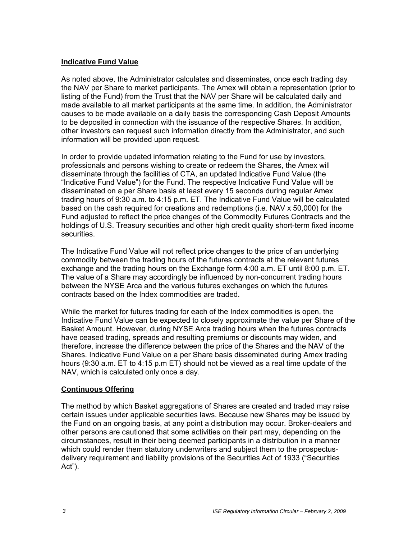#### **Indicative Fund Value**

As noted above, the Administrator calculates and disseminates, once each trading day the NAV per Share to market participants. The Amex will obtain a representation (prior to listing of the Fund) from the Trust that the NAV per Share will be calculated daily and made available to all market participants at the same time. In addition, the Administrator causes to be made available on a daily basis the corresponding Cash Deposit Amounts to be deposited in connection with the issuance of the respective Shares. In addition, other investors can request such information directly from the Administrator, and such information will be provided upon request.

In order to provide updated information relating to the Fund for use by investors, professionals and persons wishing to create or redeem the Shares, the Amex will disseminate through the facilities of CTA, an updated Indicative Fund Value (the "Indicative Fund Value") for the Fund. The respective Indicative Fund Value will be disseminated on a per Share basis at least every 15 seconds during regular Amex trading hours of 9:30 a.m. to 4:15 p.m. ET. The Indicative Fund Value will be calculated based on the cash required for creations and redemptions (i.e. NAV x 50,000) for the Fund adjusted to reflect the price changes of the Commodity Futures Contracts and the holdings of U.S. Treasury securities and other high credit quality short-term fixed income securities.

The Indicative Fund Value will not reflect price changes to the price of an underlying commodity between the trading hours of the futures contracts at the relevant futures exchange and the trading hours on the Exchange form 4:00 a.m. ET until 8:00 p.m. ET. The value of a Share may accordingly be influenced by non-concurrent trading hours between the NYSE Arca and the various futures exchanges on which the futures contracts based on the Index commodities are traded.

While the market for futures trading for each of the Index commodities is open, the Indicative Fund Value can be expected to closely approximate the value per Share of the Basket Amount. However, during NYSE Arca trading hours when the futures contracts have ceased trading, spreads and resulting premiums or discounts may widen, and therefore, increase the difference between the price of the Shares and the NAV of the Shares. Indicative Fund Value on a per Share basis disseminated during Amex trading hours (9:30 a.m. ET to 4:15 p.m ET) should not be viewed as a real time update of the NAV, which is calculated only once a day.

## **Continuous Offering**

The method by which Basket aggregations of Shares are created and traded may raise certain issues under applicable securities laws. Because new Shares may be issued by the Fund on an ongoing basis, at any point a distribution may occur. Broker-dealers and other persons are cautioned that some activities on their part may, depending on the circumstances, result in their being deemed participants in a distribution in a manner which could render them statutory underwriters and subject them to the prospectusdelivery requirement and liability provisions of the Securities Act of 1933 ("Securities Act").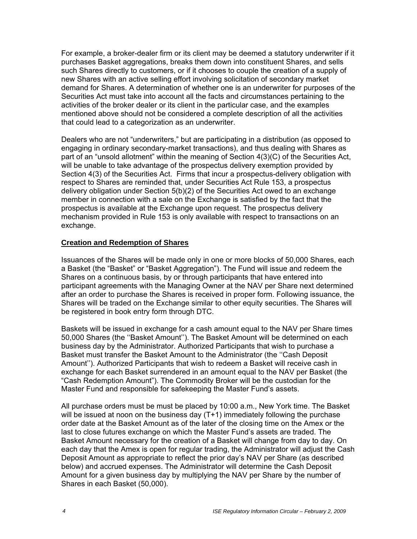For example, a broker-dealer firm or its client may be deemed a statutory underwriter if it purchases Basket aggregations, breaks them down into constituent Shares, and sells such Shares directly to customers, or if it chooses to couple the creation of a supply of new Shares with an active selling effort involving solicitation of secondary market demand for Shares. A determination of whether one is an underwriter for purposes of the Securities Act must take into account all the facts and circumstances pertaining to the activities of the broker dealer or its client in the particular case, and the examples mentioned above should not be considered a complete description of all the activities that could lead to a categorization as an underwriter.

Dealers who are not "underwriters," but are participating in a distribution (as opposed to engaging in ordinary secondary-market transactions), and thus dealing with Shares as part of an "unsold allotment" within the meaning of Section 4(3)(C) of the Securities Act, will be unable to take advantage of the prospectus delivery exemption provided by Section 4(3) of the Securities Act. Firms that incur a prospectus-delivery obligation with respect to Shares are reminded that, under Securities Act Rule 153, a prospectus delivery obligation under Section 5(b)(2) of the Securities Act owed to an exchange member in connection with a sale on the Exchange is satisfied by the fact that the prospectus is available at the Exchange upon request. The prospectus delivery mechanism provided in Rule 153 is only available with respect to transactions on an exchange.

#### **Creation and Redemption of Shares**

Issuances of the Shares will be made only in one or more blocks of 50,000 Shares, each a Basket (the "Basket" or "Basket Aggregation"). The Fund will issue and redeem the Shares on a continuous basis, by or through participants that have entered into participant agreements with the Managing Owner at the NAV per Share next determined after an order to purchase the Shares is received in proper form. Following issuance, the Shares will be traded on the Exchange similar to other equity securities. The Shares will be registered in book entry form through DTC.

Baskets will be issued in exchange for a cash amount equal to the NAV per Share times 50,000 Shares (the ''Basket Amount''). The Basket Amount will be determined on each business day by the Administrator. Authorized Participants that wish to purchase a Basket must transfer the Basket Amount to the Administrator (the ''Cash Deposit Amount''). Authorized Participants that wish to redeem a Basket will receive cash in exchange for each Basket surrendered in an amount equal to the NAV per Basket (the "Cash Redemption Amount"). The Commodity Broker will be the custodian for the Master Fund and responsible for safekeeping the Master Fund's assets.

All purchase orders must be must be placed by 10:00 a.m., New York time. The Basket will be issued at noon on the business day (T+1) immediately following the purchase order date at the Basket Amount as of the later of the closing time on the Amex or the last to close futures exchange on which the Master Fund's assets are traded. The Basket Amount necessary for the creation of a Basket will change from day to day. On each day that the Amex is open for regular trading, the Administrator will adjust the Cash Deposit Amount as appropriate to reflect the prior day's NAV per Share (as described below) and accrued expenses. The Administrator will determine the Cash Deposit Amount for a given business day by multiplying the NAV per Share by the number of Shares in each Basket (50,000).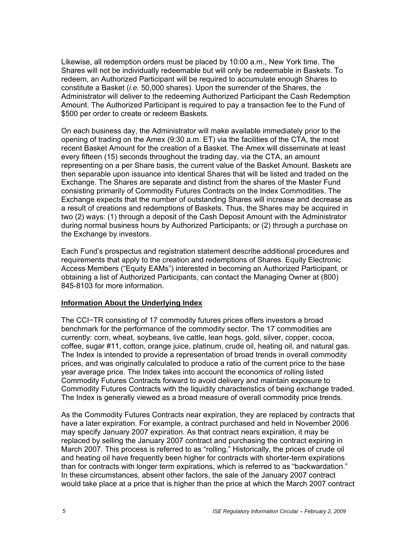Likewise, all redemption orders must be placed by 10:00 a.m., New York time. The Shares will not be individually redeemable but will only be redeemable in Baskets. To redeem, an Authorized Participant will be required to accumulate enough Shares to constitute a Basket (*i.e.* 50,000 shares). Upon the surrender of the Shares, the Administrator will deliver to the redeeming Authorized Participant the Cash Redemption Amount. The Authorized Participant is required to pay a transaction fee to the Fund of \$500 per order to create or redeem Baskets.

On each business day, the Administrator will make available immediately prior to the opening of trading on the Amex (9:30 a.m. ET) via the facilities of the CTA, the most recent Basket Amount for the creation of a Basket. The Amex will disseminate at least every fifteen (15) seconds throughout the trading day, via the CTA, an amount representing on a per Share basis, the current value of the Basket Amount. Baskets are then separable upon issuance into identical Shares that will be listed and traded on the Exchange. The Shares are separate and distinct from the shares of the Master Fund consisting primarily of Commodity Futures Contracts on the Index Commodities. The Exchange expects that the number of outstanding Shares will increase and decrease as a result of creations and redemptions of Baskets. Thus, the Shares may be acquired in two (2) ways: (1) through a deposit of the Cash Deposit Amount with the Administrator during normal business hours by Authorized Participants; or (2) through a purchase on the Exchange by investors.

Each Fund's prospectus and registration statement describe additional procedures and requirements that apply to the creation and redemptions of Shares. Equity Electronic Access Members ("Equity EAMs") interested in becoming an Authorized Participant, or obtaining a list of Authorized Participants, can contact the Managing Owner at (800) 845-8103 for more information.

## **Information About the Underlying Index**

The CCI−TR consisting of 17 commodity futures prices offers investors a broad benchmark for the performance of the commodity sector. The 17 commodities are currently: corn, wheat, soybeans, live cattle, lean hogs, gold, silver, copper, cocoa, coffee, sugar #11, cotton, orange juice, platinum, crude oil, heating oil, and natural gas. The Index is intended to provide a representation of broad trends in overall commodity prices, and was originally calculated to produce a ratio of the current price to the base year average price. The Index takes into account the economics of rolling listed Commodity Futures Contracts forward to avoid delivery and maintain exposure to Commodity Futures Contracts with the liquidity characteristics of being exchange traded. The Index is generally viewed as a broad measure of overall commodity price trends.

As the Commodity Futures Contracts near expiration, they are replaced by contracts that have a later expiration. For example, a contract purchased and held in November 2006 may specify January 2007 expiration. As that contract nears expiration, it may be replaced by selling the January 2007 contract and purchasing the contract expiring in March 2007. This process is referred to as "rolling." Historically, the prices of crude oil and heating oil have frequently been higher for contracts with shorter-term expirations than for contracts with longer term expirations, which is referred to as "backwardation." In these circumstances, absent other factors, the sale of the January 2007 contract would take place at a price that is higher than the price at which the March 2007 contract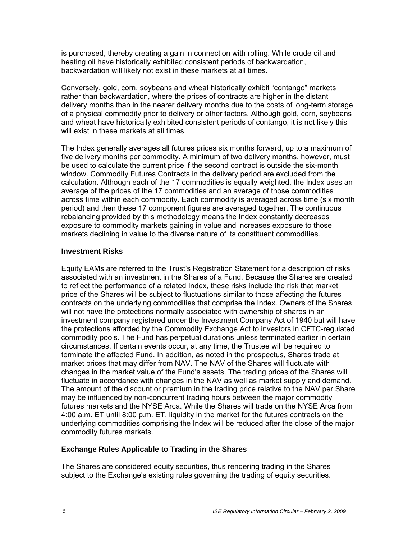is purchased, thereby creating a gain in connection with rolling. While crude oil and heating oil have historically exhibited consistent periods of backwardation, backwardation will likely not exist in these markets at all times.

Conversely, gold, corn, soybeans and wheat historically exhibit "contango" markets rather than backwardation, where the prices of contracts are higher in the distant delivery months than in the nearer delivery months due to the costs of long-term storage of a physical commodity prior to delivery or other factors. Although gold, corn, soybeans and wheat have historically exhibited consistent periods of contango, it is not likely this will exist in these markets at all times.

The Index generally averages all futures prices six months forward, up to a maximum of five delivery months per commodity. A minimum of two delivery months, however, must be used to calculate the current price if the second contract is outside the six-month window. Commodity Futures Contracts in the delivery period are excluded from the calculation. Although each of the 17 commodities is equally weighted, the Index uses an average of the prices of the 17 commodities and an average of those commodities across time within each commodity. Each commodity is averaged across time (six month period) and then these 17 component figures are averaged together. The continuous rebalancing provided by this methodology means the Index constantly decreases exposure to commodity markets gaining in value and increases exposure to those markets declining in value to the diverse nature of its constituent commodities.

#### **Investment Risks**

Equity EAMs are referred to the Trust's Registration Statement for a description of risks associated with an investment in the Shares of a Fund. Because the Shares are created to reflect the performance of a related Index, these risks include the risk that market price of the Shares will be subject to fluctuations similar to those affecting the futures contracts on the underlying commodities that comprise the Index. Owners of the Shares will not have the protections normally associated with ownership of shares in an investment company registered under the Investment Company Act of 1940 but will have the protections afforded by the Commodity Exchange Act to investors in CFTC-regulated commodity pools. The Fund has perpetual durations unless terminated earlier in certain circumstances. If certain events occur, at any time, the Trustee will be required to terminate the affected Fund. In addition, as noted in the prospectus, Shares trade at market prices that may differ from NAV. The NAV of the Shares will fluctuate with changes in the market value of the Fund's assets. The trading prices of the Shares will fluctuate in accordance with changes in the NAV as well as market supply and demand. The amount of the discount or premium in the trading price relative to the NAV per Share may be influenced by non-concurrent trading hours between the major commodity futures markets and the NYSE Arca. While the Shares will trade on the NYSE Arca from 4:00 a.m. ET until 8:00 p.m. ET, liquidity in the market for the futures contracts on the underlying commodities comprising the Index will be reduced after the close of the major commodity futures markets.

## **Exchange Rules Applicable to Trading in the Shares**

The Shares are considered equity securities, thus rendering trading in the Shares subject to the Exchange's existing rules governing the trading of equity securities.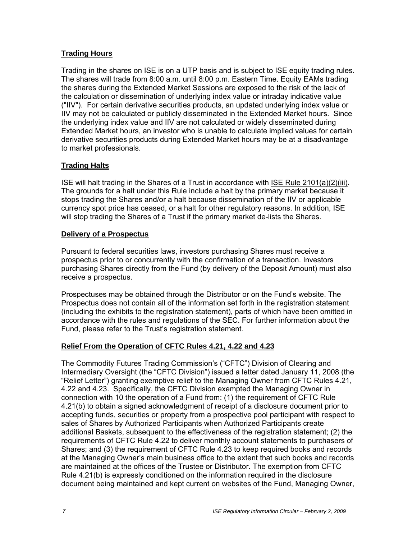# **Trading Hours**

Trading in the shares on ISE is on a UTP basis and is subject to ISE equity trading rules. The shares will trade from 8:00 a.m. until 8:00 p.m. Eastern Time. Equity EAMs trading the shares during the Extended Market Sessions are exposed to the risk of the lack of the calculation or dissemination of underlying index value or intraday indicative value ("IIV"). For certain derivative securities products, an updated underlying index value or IIV may not be calculated or publicly disseminated in the Extended Market hours. Since the underlying index value and IIV are not calculated or widely disseminated during Extended Market hours, an investor who is unable to calculate implied values for certain derivative securities products during Extended Market hours may be at a disadvantage to market professionals.

# **Trading Halts**

ISE will halt trading in the Shares of a Trust in accordance with ISE Rule 2101(a)(2)(iii). The grounds for a halt under this Rule include a halt by the primary market because it stops trading the Shares and/or a halt because dissemination of the IIV or applicable currency spot price has ceased, or a halt for other regulatory reasons. In addition, ISE will stop trading the Shares of a Trust if the primary market de-lists the Shares.

## **Delivery of a Prospectus**

Pursuant to federal securities laws, investors purchasing Shares must receive a prospectus prior to or concurrently with the confirmation of a transaction. Investors purchasing Shares directly from the Fund (by delivery of the Deposit Amount) must also receive a prospectus.

Prospectuses may be obtained through the Distributor or on the Fund's website. The Prospectus does not contain all of the information set forth in the registration statement (including the exhibits to the registration statement), parts of which have been omitted in accordance with the rules and regulations of the SEC. For further information about the Fund, please refer to the Trust's registration statement.

## **Relief From the Operation of CFTC Rules 4.21, 4.22 and 4.23**

The Commodity Futures Trading Commission's ("CFTC") Division of Clearing and Intermediary Oversight (the "CFTC Division") issued a letter dated January 11, 2008 (the "Relief Letter") granting exemptive relief to the Managing Owner from CFTC Rules 4.21, 4.22 and 4.23. Specifically, the CFTC Division exempted the Managing Owner in connection with 10 the operation of a Fund from: (1) the requirement of CFTC Rule 4.21(b) to obtain a signed acknowledgment of receipt of a disclosure document prior to accepting funds, securities or property from a prospective pool participant with respect to sales of Shares by Authorized Participants when Authorized Participants create additional Baskets, subsequent to the effectiveness of the registration statement; (2) the requirements of CFTC Rule 4.22 to deliver monthly account statements to purchasers of Shares; and (3) the requirement of CFTC Rule 4.23 to keep required books and records at the Managing Owner's main business office to the extent that such books and records are maintained at the offices of the Trustee or Distributor. The exemption from CFTC Rule 4.21(b) is expressly conditioned on the information required in the disclosure document being maintained and kept current on websites of the Fund, Managing Owner,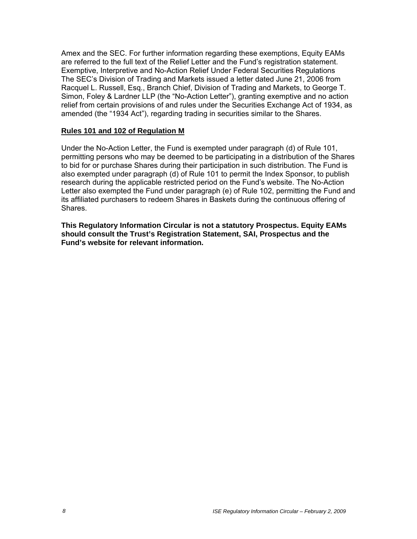Amex and the SEC. For further information regarding these exemptions, Equity EAMs are referred to the full text of the Relief Letter and the Fund's registration statement. Exemptive, Interpretive and No-Action Relief Under Federal Securities Regulations The SEC's Division of Trading and Markets issued a letter dated June 21, 2006 from Racquel L. Russell, Esq., Branch Chief, Division of Trading and Markets, to George T. Simon, Foley & Lardner LLP (the "No-Action Letter"), granting exemptive and no action relief from certain provisions of and rules under the Securities Exchange Act of 1934, as amended (the "1934 Act"), regarding trading in securities similar to the Shares.

#### **Rules 101 and 102 of Regulation M**

Under the No-Action Letter, the Fund is exempted under paragraph (d) of Rule 101, permitting persons who may be deemed to be participating in a distribution of the Shares to bid for or purchase Shares during their participation in such distribution. The Fund is also exempted under paragraph (d) of Rule 101 to permit the Index Sponsor, to publish research during the applicable restricted period on the Fund's website. The No-Action Letter also exempted the Fund under paragraph (e) of Rule 102, permitting the Fund and its affiliated purchasers to redeem Shares in Baskets during the continuous offering of Shares.

**This Regulatory Information Circular is not a statutory Prospectus. Equity EAMs should consult the Trust's Registration Statement, SAI, Prospectus and the Fund's website for relevant information.**